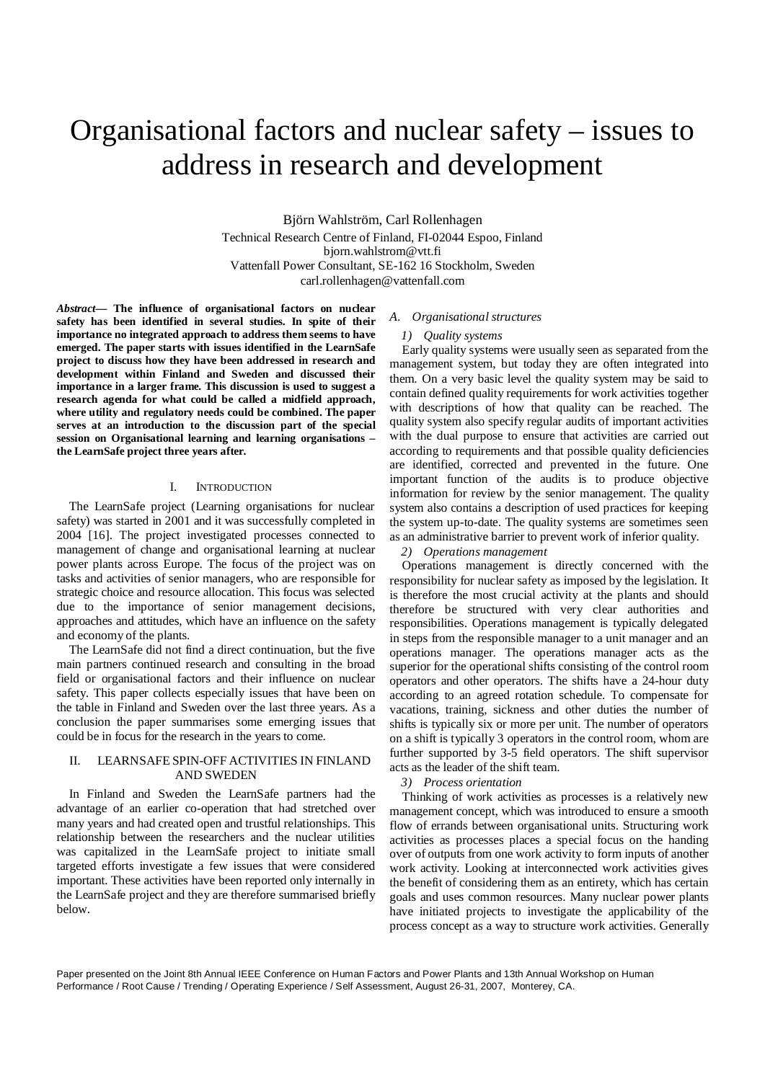# Organisational factors and nuclear safety – issues to address in research and development

Björn Wahlström, Carl Rollenhagen Technical Research Centre of Finland, FI-02044 Espoo, Finland [bjorn.wahlstrom@vtt.fi](mailto:bjorn.wahlstrom@vtt.fi) Vattenfall Power Consultant, SE-162 16 Stockholm, Sweden [carl.rollenhagen@vattenfall.com](mailto:carl.rollenhagen@vattenfall.com)

*Abstract***— The influence of organisational factors on nuclear safety has been identified in several studies. In spite of their importance no integrated approach to address them seems to have emerged. The paper starts with issues identified in the LearnSafe project to discuss how they have been addressed in research and development within Finland and Sweden and discussed their importance in a larger frame. This discussion is used to suggest a research agenda for what could be called a midfield approach, where utility and regulatory needs could be combined. The paper serves at an introduction to the discussion part of the special session on Organisational learning and learning organisations – the LearnSafe project three years after.**

# I. INTRODUCTION

The LearnSafe project (Learning organisations for nuclear safety) was started in 2001 and it was successfully completed in 2004 [16]. The project investigated processes connected to management of change and organisational learning at nuclear power plants across Europe. The focus of the project was on tasks and activities of senior managers, who are responsible for strategic choice and resource allocation. This focus was selected due to the importance of senior management decisions, approaches and attitudes, which have an influence on the safety and economy of the plants.

The LearnSafe did not find a direct continuation, but the five main partners continued research and consulting in the broad field or organisational factors and their influence on nuclear safety. This paper collects especially issues that have been on the table in Finland and Sweden over the last three years. As a conclusion the paper summarises some emerging issues that could be in focus for the research in the years to come.

# II. LEARNSAFE SPIN-OFF ACTIVITIES IN FINLAND AND SWEDEN

In Finland and Sweden the LearnSafe partners had the advantage of an earlier co-operation that had stretched over many years and had created open and trustful relationships. This relationship between the researchers and the nuclear utilities was capitalized in the LearnSafe project to initiate small targeted efforts investigate a few issues that were considered important. These activities have been reported only internally in the LearnSafe project and they are therefore summarised briefly below.

# *A. Organisational structures*

#### *1) Quality systems*

Early quality systems were usually seen as separated from the management system, but today they are often integrated into them. On a very basic level the quality system may be said to contain defined quality requirements for work activities together with descriptions of how that quality can be reached. The quality system also specify regular audits of important activities with the dual purpose to ensure that activities are carried out according to requirements and that possible quality deficiencies are identified, corrected and prevented in the future. One important function of the audits is to produce objective information for review by the senior management. The quality system also contains a description of used practices for keeping the system up-to-date. The quality systems are sometimes seen as an administrative barrier to prevent work of inferior quality.

# *2) Operations management*

Operations management is directly concerned with the responsibility for nuclear safety as imposed by the legislation. It is therefore the most crucial activity at the plants and should therefore be structured with very clear authorities and responsibilities. Operations management is typically delegated in steps from the responsible manager to a unit manager and an operations manager. The operations manager acts as the superior for the operational shifts consisting of the control room operators and other operators. The shifts have a 24-hour duty according to an agreed rotation schedule. To compensate for vacations, training, sickness and other duties the number of shifts is typically six or more per unit. The number of operators on a shift is typically 3 operators in the control room, whom are further supported by 3-5 field operators. The shift supervisor acts as the leader of the shift team.

# *3) Process orientation*

Thinking of work activities as processes is a relatively new management concept, which was introduced to ensure a smooth flow of errands between organisational units. Structuring work activities as processes places a special focus on the handing over of outputs from one work activity to form inputs of another work activity. Looking at interconnected work activities gives the benefit of considering them as an entirety, which has certain goals and uses common resources. Many nuclear power plants have initiated projects to investigate the applicability of the process concept as a way to structure work activities. Generally

Paper presented on the Joint 8th Annual IEEE Conference on Human Factors and Power Plants and 13th Annual Workshop on Human Performance / Root Cause / Trending / Operating Experience / Self Assessment, August 26-31, 2007, Monterey, CA.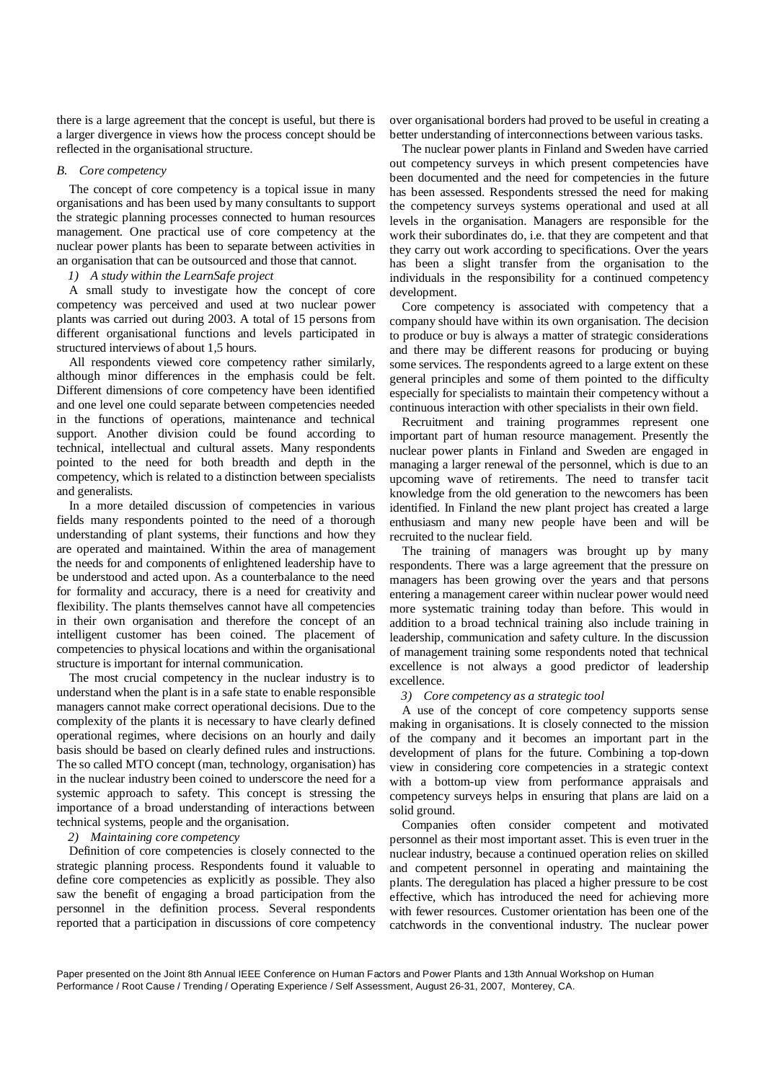there is a large agreement that the concept is useful, but there is a larger divergence in views how the process concept should be reflected in the organisational structure.

#### *B. Core competency*

The concept of core competency is a topical issue in many organisations and has been used by many consultants to support the strategic planning processes connected to human resources management. One practical use of core competency at the nuclear power plants has been to separate between activities in an organisation that can be outsourced and those that cannot.

# *1) A study within the LearnSafe project*

A small study to investigate how the concept of core competency was perceived and used at two nuclear power plants was carried out during 2003. A total of 15 persons from different organisational functions and levels participated in structured interviews of about 1,5 hours.

All respondents viewed core competency rather similarly, although minor differences in the emphasis could be felt. Different dimensions of core competency have been identified and one level one could separate between competencies needed in the functions of operations, maintenance and technical support. Another division could be found according to technical, intellectual and cultural assets. Many respondents pointed to the need for both breadth and depth in the competency, which is related to a distinction between specialists and generalists.

In a more detailed discussion of competencies in various fields many respondents pointed to the need of a thorough understanding of plant systems, their functions and how they are operated and maintained. Within the area of management the needs for and components of enlightened leadership have to be understood and acted upon. As a counterbalance to the need for formality and accuracy, there is a need for creativity and flexibility. The plants themselves cannot have all competencies in their own organisation and therefore the concept of an intelligent customer has been coined. The placement of competencies to physical locations and within the organisational structure is important for internal communication.

The most crucial competency in the nuclear industry is to understand when the plant is in a safe state to enable responsible managers cannot make correct operational decisions. Due to the complexity of the plants it is necessary to have clearly defined operational regimes, where decisions on an hourly and daily basis should be based on clearly defined rules and instructions. The so called MTO concept (man, technology, organisation) has in the nuclear industry been coined to underscore the need for a systemic approach to safety. This concept is stressing the importance of a broad understanding of interactions between technical systems, people and the organisation.

# *2) Maintaining core competency*

Definition of core competencies is closely connected to the strategic planning process. Respondents found it valuable to define core competencies as explicitly as possible. They also saw the benefit of engaging a broad participation from the personnel in the definition process. Several respondents reported that a participation in discussions of core competency over organisational borders had proved to be useful in creating a better understanding of interconnections between various tasks.

The nuclear power plants in Finland and Sweden have carried out competency surveys in which present competencies have been documented and the need for competencies in the future has been assessed. Respondents stressed the need for making the competency surveys systems operational and used at all levels in the organisation. Managers are responsible for the work their subordinates do, i.e. that they are competent and that they carry out work according to specifications. Over the years has been a slight transfer from the organisation to the individuals in the responsibility for a continued competency development.

Core competency is associated with competency that a company should have within its own organisation. The decision to produce or buy is always a matter of strategic considerations and there may be different reasons for producing or buying some services. The respondents agreed to a large extent on these general principles and some of them pointed to the difficulty especially for specialists to maintain their competency without a continuous interaction with other specialists in their own field.

Recruitment and training programmes represent one important part of human resource management. Presently the nuclear power plants in Finland and Sweden are engaged in managing a larger renewal of the personnel, which is due to an upcoming wave of retirements. The need to transfer tacit knowledge from the old generation to the newcomers has been identified. In Finland the new plant project has created a large enthusiasm and many new people have been and will be recruited to the nuclear field.

The training of managers was brought up by many respondents. There was a large agreement that the pressure on managers has been growing over the years and that persons entering a management career within nuclear power would need more systematic training today than before. This would in addition to a broad technical training also include training in leadership, communication and safety culture. In the discussion of management training some respondents noted that technical excellence is not always a good predictor of leadership excellence.

*3) Core competency as a strategic tool*

A use of the concept of core competency supports sense making in organisations. It is closely connected to the mission of the company and it becomes an important part in the development of plans for the future. Combining a top-down view in considering core competencies in a strategic context with a bottom-up view from performance appraisals and competency surveys helps in ensuring that plans are laid on a solid ground.

Companies often consider competent and motivated personnel as their most important asset. This is even truer in the nuclear industry, because a continued operation relies on skilled and competent personnel in operating and maintaining the plants. The deregulation has placed a higher pressure to be cost effective, which has introduced the need for achieving more with fewer resources. Customer orientation has been one of the catchwords in the conventional industry. The nuclear power

Paper presented on the Joint 8th Annual IEEE Conference on Human Factors and Power Plants and 13th Annual Workshop on Human Performance / Root Cause / Trending / Operating Experience / Self Assessment, August 26-31, 2007, Monterey, CA.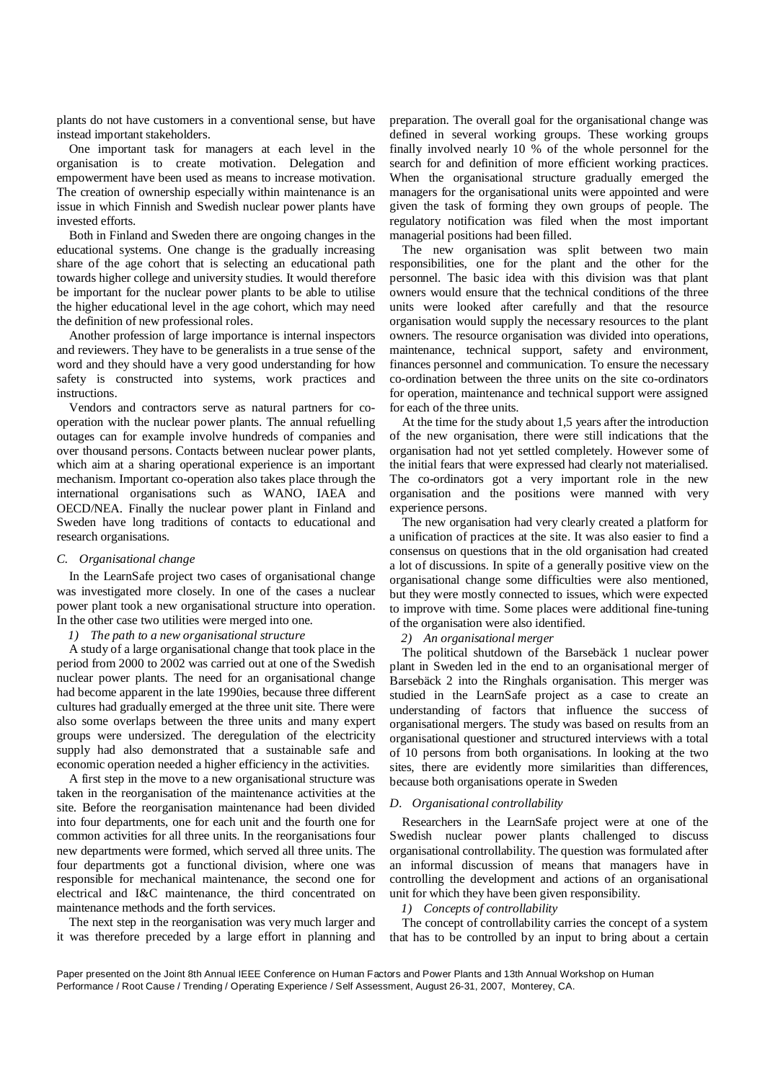plants do not have customers in a conventional sense, but have instead important stakeholders.

One important task for managers at each level in the organisation is to create motivation. Delegation and empowerment have been used as means to increase motivation. The creation of ownership especially within maintenance is an issue in which Finnish and Swedish nuclear power plants have invested efforts.

Both in Finland and Sweden there are ongoing changes in the educational systems. One change is the gradually increasing share of the age cohort that is selecting an educational path towards higher college and university studies. It would therefore be important for the nuclear power plants to be able to utilise the higher educational level in the age cohort, which may need the definition of new professional roles.

Another profession of large importance is internal inspectors and reviewers. They have to be generalists in a true sense of the word and they should have a very good understanding for how safety is constructed into systems, work practices and instructions.

Vendors and contractors serve as natural partners for cooperation with the nuclear power plants. The annual refuelling outages can for example involve hundreds of companies and over thousand persons. Contacts between nuclear power plants, which aim at a sharing operational experience is an important mechanism. Important co-operation also takes place through the international organisations such as WANO, IAEA and OECD/NEA. Finally the nuclear power plant in Finland and Sweden have long traditions of contacts to educational and research organisations.

# *C. Organisational change*

In the LearnSafe project two cases of organisational change was investigated more closely. In one of the cases a nuclear power plant took a new organisational structure into operation. In the other case two utilities were merged into one.

#### *1) The path to a new organisational structure*

A study of a large organisational change that took place in the period from 2000 to 2002 was carried out at one of the Swedish nuclear power plants. The need for an organisational change had become apparent in the late 1990ies, because three different cultures had gradually emerged at the three unit site. There were also some overlaps between the three units and many expert groups were undersized. The deregulation of the electricity supply had also demonstrated that a sustainable safe and economic operation needed a higher efficiency in the activities.

A first step in the move to a new organisational structure was taken in the reorganisation of the maintenance activities at the site. Before the reorganisation maintenance had been divided into four departments, one for each unit and the fourth one for common activities for all three units. In the reorganisations four new departments were formed, which served all three units. The four departments got a functional division, where one was responsible for mechanical maintenance, the second one for electrical and I&C maintenance, the third concentrated on maintenance methods and the forth services.

The next step in the reorganisation was very much larger and it was therefore preceded by a large effort in planning and preparation. The overall goal for the organisational change was defined in several working groups. These working groups finally involved nearly 10 % of the whole personnel for the search for and definition of more efficient working practices. When the organisational structure gradually emerged the managers for the organisational units were appointed and were given the task of forming they own groups of people. The regulatory notification was filed when the most important managerial positions had been filled.

The new organisation was split between two main responsibilities, one for the plant and the other for the personnel. The basic idea with this division was that plant owners would ensure that the technical conditions of the three units were looked after carefully and that the resource organisation would supply the necessary resources to the plant owners. The resource organisation was divided into operations, maintenance, technical support, safety and environment, finances personnel and communication. To ensure the necessary co-ordination between the three units on the site co-ordinators for operation, maintenance and technical support were assigned for each of the three units.

At the time for the study about 1,5 years after the introduction of the new organisation, there were still indications that the organisation had not yet settled completely. However some of the initial fears that were expressed had clearly not materialised. The co-ordinators got a very important role in the new organisation and the positions were manned with very experience persons.

The new organisation had very clearly created a platform for a unification of practices at the site. It was also easier to find a consensus on questions that in the old organisation had created a lot of discussions. In spite of a generally positive view on the organisational change some difficulties were also mentioned, but they were mostly connected to issues, which were expected to improve with time. Some places were additional fine-tuning of the organisation were also identified.

## *2) An organisational merger*

The political shutdown of the Barsebäck 1 nuclear power plant in Sweden led in the end to an organisational merger of Barsebäck 2 into the Ringhals organisation. This merger was studied in the LearnSafe project as a case to create an understanding of factors that influence the success of organisational mergers. The study was based on results from an organisational questioner and structured interviews with a total of 10 persons from both organisations. In looking at the two sites, there are evidently more similarities than differences, because both organisations operate in Sweden

#### *D. Organisational controllability*

Researchers in the LearnSafe project were at one of the Swedish nuclear power plants challenged to discuss organisational controllability. The question was formulated after an informal discussion of means that managers have in controlling the development and actions of an organisational unit for which they have been given responsibility.

# *1) Concepts of controllability*

The concept of controllability carries the concept of a system that has to be controlled by an input to bring about a certain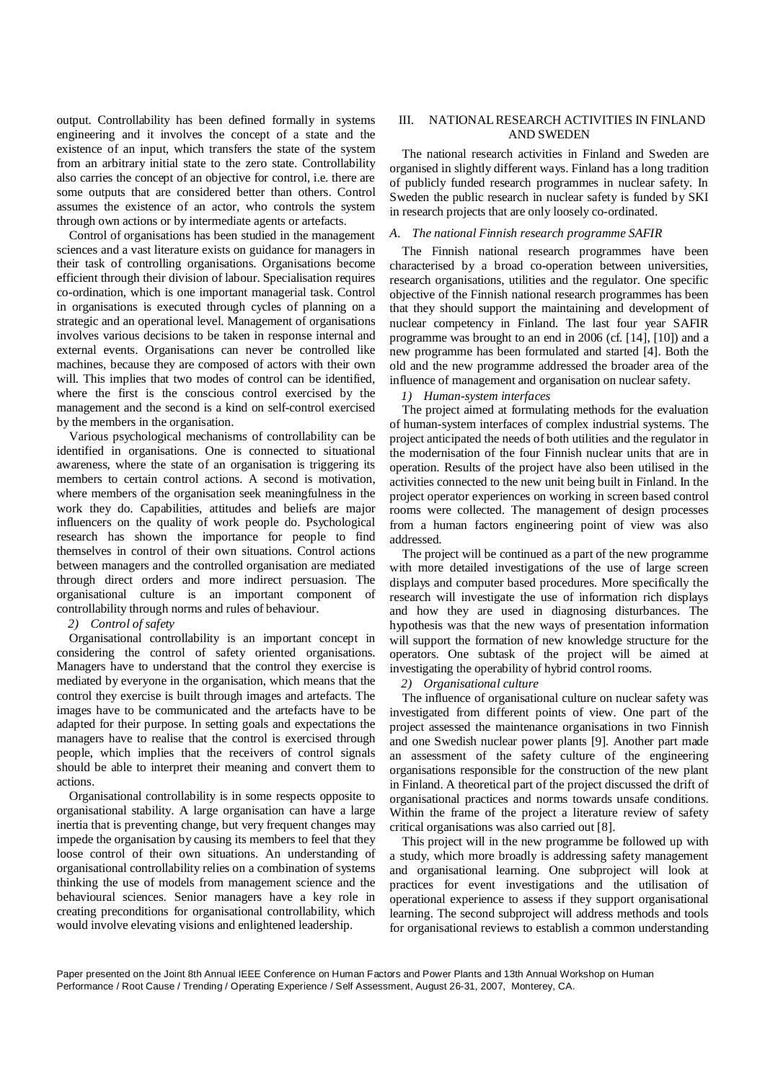output. Controllability has been defined formally in systems engineering and it involves the concept of a state and the existence of an input, which transfers the state of the system from an arbitrary initial state to the zero state. Controllability also carries the concept of an objective for control, i.e. there are some outputs that are considered better than others. Control assumes the existence of an actor, who controls the system through own actions or by intermediate agents or artefacts.

Control of organisations has been studied in the management sciences and a vast literature exists on guidance for managers in their task of controlling organisations. Organisations become efficient through their division of labour. Specialisation requires co-ordination, which is one important managerial task. Control in organisations is executed through cycles of planning on a strategic and an operational level. Management of organisations involves various decisions to be taken in response internal and external events. Organisations can never be controlled like machines, because they are composed of actors with their own will. This implies that two modes of control can be identified, where the first is the conscious control exercised by the management and the second is a kind on self-control exercised by the members in the organisation.

Various psychological mechanisms of controllability can be identified in organisations. One is connected to situational awareness, where the state of an organisation is triggering its members to certain control actions. A second is motivation, where members of the organisation seek meaningfulness in the work they do. Capabilities, attitudes and beliefs are major influencers on the quality of work people do. Psychological research has shown the importance for people to find themselves in control of their own situations. Control actions between managers and the controlled organisation are mediated through direct orders and more indirect persuasion. The organisational culture is an important component of controllability through norms and rules of behaviour.

# *2) Control of safety*

Organisational controllability is an important concept in considering the control of safety oriented organisations. Managers have to understand that the control they exercise is mediated by everyone in the organisation, which means that the control they exercise is built through images and artefacts. The images have to be communicated and the artefacts have to be adapted for their purpose. In setting goals and expectations the managers have to realise that the control is exercised through people, which implies that the receivers of control signals should be able to interpret their meaning and convert them to actions.

Organisational controllability is in some respects opposite to organisational stability. A large organisation can have a large inertia that is preventing change, but very frequent changes may impede the organisation by causing its members to feel that they loose control of their own situations. An understanding of organisational controllability relies on a combination of systems thinking the use of models from management science and the behavioural sciences. Senior managers have a key role in creating preconditions for organisational controllability, which would involve elevating visions and enlightened leadership.

# III. NATIONALRESEARCH ACTIVITIES IN FINLAND AND SWEDEN

The national research activities in Finland and Sweden are organised in slightly different ways. Finland has a long tradition of publicly funded research programmes in nuclear safety. In Sweden the public research in nuclear safety is funded by SKI in research projects that are only loosely co-ordinated.

# *A. The national Finnish research programme SAFIR*

The Finnish national research programmes have been characterised by a broad co-operation between universities, research organisations, utilities and the regulator. One specific objective of the Finnish national research programmes has been that they should support the maintaining and development of nuclear competency in Finland. The last four year SAFIR programme was brought to an end in 2006 (cf. [14], [10]) and a new programme has been formulated and started [4]. Both the old and the new programme addressed the broader area of the influence of management and organisation on nuclear safety.

# *1) Human-system interfaces*

The project aimed at formulating methods for the evaluation of human-system interfaces of complex industrial systems. The project anticipated the needs of both utilities and the regulator in the modernisation of the four Finnish nuclear units that are in operation. Results of the project have also been utilised in the activities connected to the new unit being built in Finland. In the project operator experiences on working in screen based control rooms were collected. The management of design processes from a human factors engineering point of view was also addressed.

The project will be continued as a part of the new programme with more detailed investigations of the use of large screen displays and computer based procedures. More specifically the research will investigate the use of information rich displays and how they are used in diagnosing disturbances. The hypothesis was that the new ways of presentation information will support the formation of new knowledge structure for the operators. One subtask of the project will be aimed at investigating the operability of hybrid control rooms.

#### *2) Organisational culture*

The influence of organisational culture on nuclear safety was investigated from different points of view. One part of the project assessed the maintenance organisations in two Finnish and one Swedish nuclear power plants [9]. Another part made an assessment of the safety culture of the engineering organisations responsible for the construction of the new plant in Finland. A theoretical part of the project discussed the drift of organisational practices and norms towards unsafe conditions. Within the frame of the project a literature review of safety critical organisations was also carried out [8].

This project will in the new programme be followed up with a study, which more broadly is addressing safety management and organisational learning. One subproject will look at practices for event investigations and the utilisation of operational experience to assess if they support organisational learning. The second subproject will address methods and tools for organisational reviews to establish a common understanding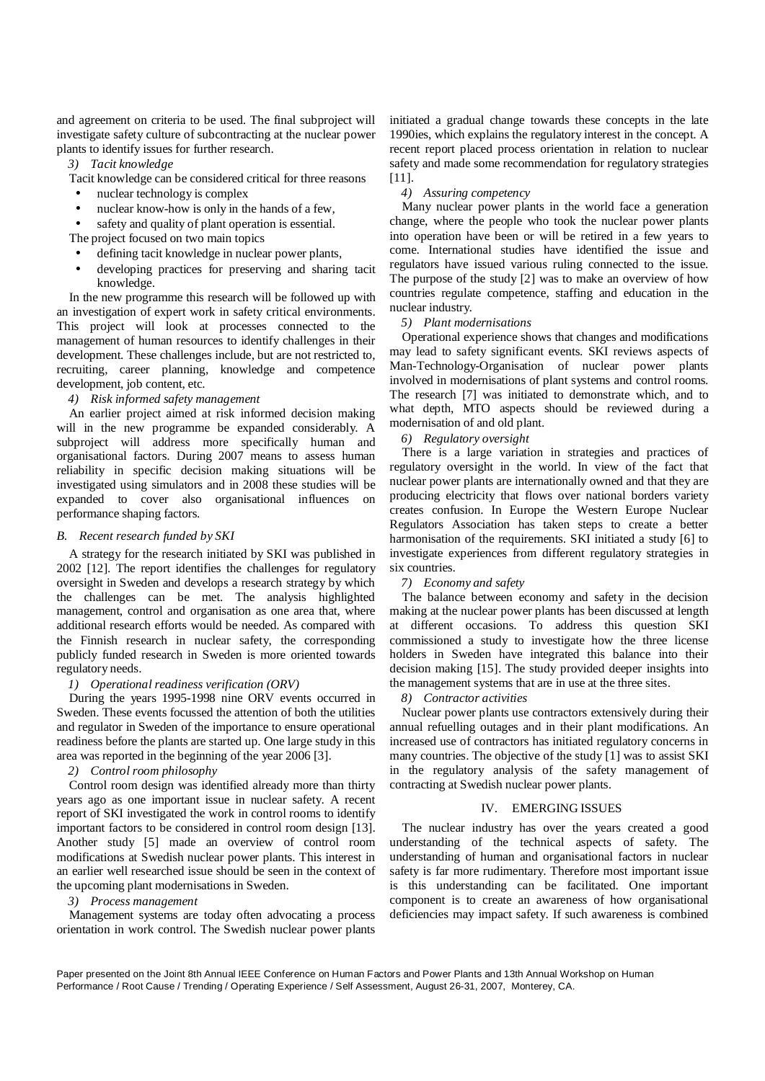and agreement on criteria to be used. The final subproject will investigate safety culture of subcontracting at the nuclear power plants to identify issues for further research.

*3) Tacit knowledge*

Tacit knowledge can be considered critical for three reasons

- nuclear technology is complex
- nuclear know-how is only in the hands of a few,
- safety and quality of plant operation is essential.

The project focused on two main topics

- defining tacit knowledge in nuclear power plants,
- developing practices for preserving and sharing tacit knowledge.

In the new programme this research will be followed up with an investigation of expert work in safety critical environments. This project will look at processes connected to the management of human resources to identify challenges in their development. These challenges include, but are not restricted to, recruiting, career planning, knowledge and competence development, job content, etc.

# *4) Risk informed safety management*

An earlier project aimed at risk informed decision making will in the new programme be expanded considerably. A subproject will address more specifically human and organisational factors. During 2007 means to assess human reliability in specific decision making situations will be investigated using simulators and in 2008 these studies will be expanded to cover also organisational influences on performance shaping factors.

### *B. Recent research funded by SKI*

A strategy for the research initiated by SKI was published in 2002 [12]. The report identifies the challenges for regulatory oversight in Sweden and develops a research strategy by which the challenges can be met. The analysis highlighted management, control and organisation as one area that, where additional research efforts would be needed. As compared with the Finnish research in nuclear safety, the corresponding publicly funded research in Sweden is more oriented towards regulatory needs.

#### *1) Operational readiness verification (ORV)*

During the years 1995-1998 nine ORV events occurred in Sweden. These events focussed the attention of both the utilities and regulator in Sweden of the importance to ensure operational readiness before the plants are started up. One large study in this area was reported in the beginning of the year 2006 [3].

#### *2) Control room philosophy*

Control room design was identified already more than thirty years ago as one important issue in nuclear safety. A recent report of SKI investigated the work in control rooms to identify important factors to be considered in control room design [13]. Another study [5] made an overview of control room modifications at Swedish nuclear power plants. This interest in an earlier well researched issue should be seen in the context of the upcoming plant modernisations in Sweden.

#### *3) Process management*

Management systems are today often advocating a process orientation in work control. The Swedish nuclear power plants

initiated a gradual change towards these concepts in the late 1990ies, which explains the regulatory interest in the concept. A recent report placed process orientation in relation to nuclear safety and made some recommendation for regulatory strategies [11].

#### *4) Assuring competency*

Many nuclear power plants in the world face a generation change, where the people who took the nuclear power plants into operation have been or will be retired in a few years to come. International studies have identified the issue and regulators have issued various ruling connected to the issue. The purpose of the study [2] was to make an overview of how countries regulate competence, staffing and education in the nuclear industry.

# *5) Plant modernisations*

Operational experience shows that changes and modifications may lead to safety significant events. SKI reviews aspects of Man-Technology-Organisation of nuclear power plants involved in modernisations of plant systems and control rooms. The research [7] was initiated to demonstrate which, and to what depth, MTO aspects should be reviewed during a modernisation of and old plant.

# *6) Regulatory oversight*

There is a large variation in strategies and practices of regulatory oversight in the world. In view of the fact that nuclear power plants are internationally owned and that they are producing electricity that flows over national borders variety creates confusion. In Europe the Western Europe Nuclear Regulators Association has taken steps to create a better harmonisation of the requirements. SKI initiated a study [6] to investigate experiences from different regulatory strategies in six countries.

*7) Economy and safety*

The balance between economy and safety in the decision making at the nuclear power plants has been discussed at length at different occasions. To address this question SKI commissioned a study to investigate how the three license holders in Sweden have integrated this balance into their decision making [15]. The study provided deeper insights into the management systems that are in use at the three sites.

#### *8) Contractor activities*

Nuclear power plants use contractors extensively during their annual refuelling outages and in their plant modifications. An increased use of contractors has initiated regulatory concerns in many countries. The objective of the study [1] was to assist SKI in the regulatory analysis of the safety management of contracting at Swedish nuclear power plants.

# IV. EMERGING ISSUES

The nuclear industry has over the years created a good understanding of the technical aspects of safety. The understanding of human and organisational factors in nuclear safety is far more rudimentary. Therefore most important issue is this understanding can be facilitated. One important component is to create an awareness of how organisational deficiencies may impact safety. If such awareness is combined

Paper presented on the Joint 8th Annual IEEE Conference on Human Factors and Power Plants and 13th Annual Workshop on Human Performance / Root Cause / Trending / Operating Experience / Self Assessment, August 26-31, 2007, Monterey, CA.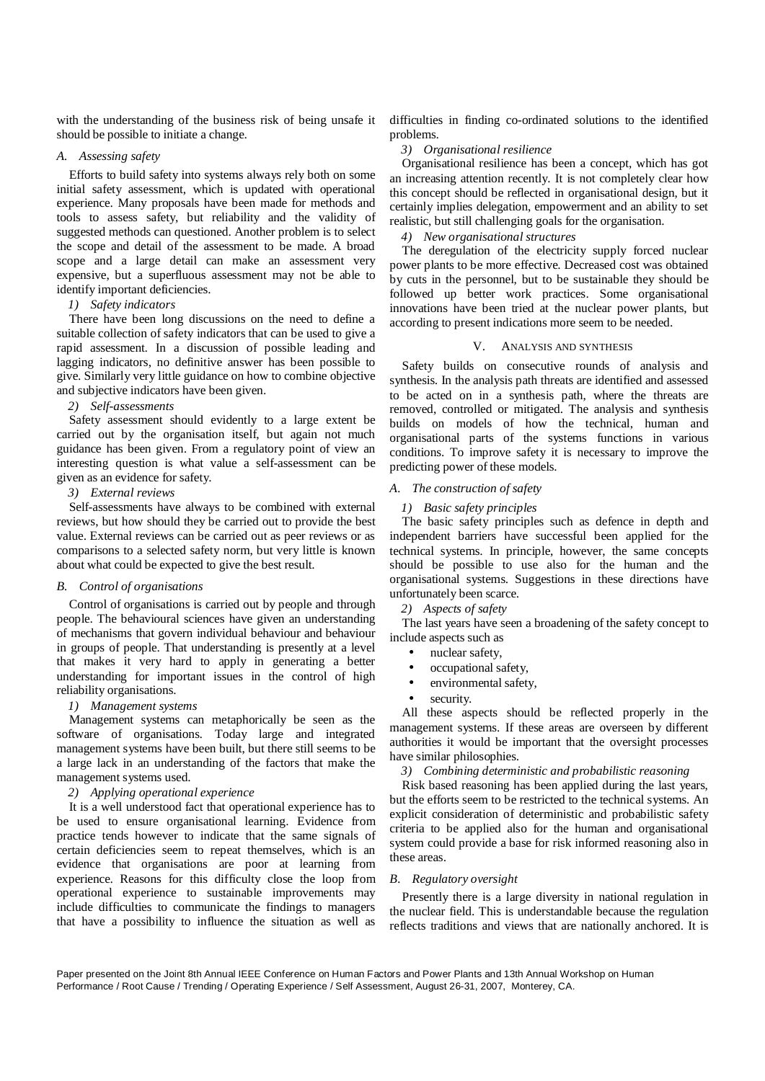with the understanding of the business risk of being unsafe it should be possible to initiate a change.

### *A. Assessing safety*

Efforts to build safety into systems always rely both on some initial safety assessment, which is updated with operational experience. Many proposals have been made for methods and tools to assess safety, but reliability and the validity of suggested methods can questioned. Another problem is to select the scope and detail of the assessment to be made. A broad scope and a large detail can make an assessment very expensive, but a superfluous assessment may not be able to identify important deficiencies.

# *1) Safety indicators*

There have been long discussions on the need to define a suitable collection of safety indicators that can be used to give a rapid assessment. In a discussion of possible leading and lagging indicators, no definitive answer has been possible to give. Similarly very little guidance on how to combine objective and subjective indicators have been given.

#### *2) Self-assessments*

Safety assessment should evidently to a large extent be carried out by the organisation itself, but again not much guidance has been given. From a regulatory point of view an interesting question is what value a self-assessment can be given as an evidence for safety.

#### *3) External reviews*

Self-assessments have always to be combined with external reviews, but how should they be carried out to provide the best value. External reviews can be carried out as peer reviews or as comparisons to a selected safety norm, but very little is known about what could be expected to give the best result.

# *B. Control of organisations*

Control of organisations is carried out by people and through people. The behavioural sciences have given an understanding of mechanisms that govern individual behaviour and behaviour in groups of people. That understanding is presently at a level that makes it very hard to apply in generating a better understanding for important issues in the control of high reliability organisations.

#### *1) Management systems*

Management systems can metaphorically be seen as the software of organisations. Today large and integrated management systems have been built, but there still seems to be a large lack in an understanding of the factors that make the management systems used.

# *2) Applying operational experience*

It is a well understood fact that operational experience has to be used to ensure organisational learning. Evidence from practice tends however to indicate that the same signals of certain deficiencies seem to repeat themselves, which is an evidence that organisations are poor at learning from experience. Reasons for this difficulty close the loop from operational experience to sustainable improvements may include difficulties to communicate the findings to managers that have a possibility to influence the situation as well as

difficulties in finding co-ordinated solutions to the identified problems.

#### *3) Organisational resilience*

Organisational resilience has been a concept, which has got an increasing attention recently. It is not completely clear how this concept should be reflected in organisational design, but it certainly implies delegation, empowerment and an ability to set realistic, but still challenging goals for the organisation.

# *4) New organisational structures*

The deregulation of the electricity supply forced nuclear power plants to be more effective. Decreased cost was obtained by cuts in the personnel, but to be sustainable they should be followed up better work practices. Some organisational innovations have been tried at the nuclear power plants, but according to present indications more seem to be needed.

# V. ANALYSIS AND SYNTHESIS

Safety builds on consecutive rounds of analysis and synthesis. In the analysis path threats are identified and assessed to be acted on in a synthesis path, where the threats are removed, controlled or mitigated. The analysis and synthesis builds on models of how the technical, human and organisational parts of the systems functions in various conditions. To improve safety it is necessary to improve the predicting power of these models.

#### *A. The construction of safety*

#### *1) Basic safety principles*

The basic safety principles such as defence in depth and independent barriers have successful been applied for the technical systems. In principle, however, the same concepts should be possible to use also for the human and the organisational systems. Suggestions in these directions have unfortunately been scarce.

*2) Aspects of safety*

The last years have seen a broadening of the safety concept to include aspects such as

- nuclear safety.
- occupational safety,
- environmental safety,
- security.

All these aspects should be reflected properly in the management systems. If these areas are overseen by different authorities it would be important that the oversight processes have similar philosophies.

*3) Combining deterministic and probabilistic reasoning*

Risk based reasoning has been applied during the last years, but the efforts seem to be restricted to the technical systems. An explicit consideration of deterministic and probabilistic safety criteria to be applied also for the human and organisational system could provide a base for risk informed reasoning also in these areas.

# *B. Regulatory oversight*

Presently there is a large diversity in national regulation in the nuclear field. This is understandable because the regulation reflects traditions and views that are nationally anchored. It is